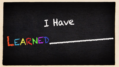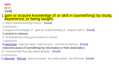#### **learn**

[ləːn] VERB

### 1.gain or acquire knowledge of or skill in (something) by study, experience, or being taught.

2."they'd started learning French" · [more]

*3.synonyms:*

4.acquire a knowledge of  $\cdot$  gain an understanding of  $\cdot$  acquire skill in  $\cdot$  [more]

#### 5.commit to memory.

6."I'd learned too many grim poems in school"

*7.synonyms:*

8. [memorize](https://www.bing.com/search?q=define+memorize&FORM=DCTRQY) · learn by heart · learn by rote · commit to memory · [more] 9.become aware of (something) by information or from observation.

10."I learned that they had eaten already"  $\cdot$  [more]

*11.synonyms:*

12. [discover](https://www.bing.com/search?q=define+discover&FORM=DCTRQY) · [find out](https://www.bing.com/search?q=define+find+out&FORM=DCTRQY) · become aware · be made aware · be informed · [more]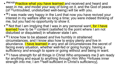- **• Phil 4;9** Practice what you have learned and received and heard and seen in me, *and* model your way of living on it, and the God of peace (of <sup>[[e](https://www.biblegateway.com/passage/?search=Philippians+4&version=AMPC#fen-AMPC-29450e)]</sup>untroubled, undisturbed well-being) will be with you.
- **• <sup>10</sup>**I was made very happy in the Lord that now you have revived your interest in my welfare after so long a time; you were indeed thinking of me, but you had no opportunity to show it.
- •<sup>11</sup> Not that I am implying that I was in any personal want, for I have learned how to be <sup>[[f\]](https://www.biblegateway.com/passage/?search=Philippians+4&version=AMPC#fen-AMPC-29452f)</sup> content (satisfied to the point where I am not disturbed or disquieted) in whatever state I am.
- **• <sup>12</sup>**I know how to be abased *and* live humbly in straitened circumstances, and I know also how to enjoy plenty *and* live in abundance. I have learned in any and all circumstances the secret of facing every situation, whether well-fed or going hungry, having a sufficiency *and* enough to spare or going without *and* being in want.
- **• <sup>13</sup>**I have strength for all things in Christ Who empowers me [I am ready for anything and equal to anything through Him Who <sup>[\[g\]](https://www.biblegateway.com/passage/?search=Philippians+4&version=AMPC#fen-AMPC-29454g)</sup>infuses inner strengt[h](https://www.biblegateway.com/passage/?search=Philippians+4&version=AMPC#fen-AMPC-29454h) into me; I am [h]self-sufficient in Christ's sufficiency].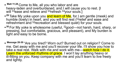- **• Matt 11;28** Come to Me, all you who labor and are heavy-laden *and* overburdened, and I will cause you to rest. [I will <sup>[\[o\]](https://www.biblegateway.com/passage/?search=Matthew+11&version=AMPC#fen-AMPC-23488o)</su[p](https://www.biblegateway.com/passage/?search=Matthew+11&version=AMPC#fen-AMPC-23488p)>ease and relieve and <sup>[p]</sup>refresh <sup>[\[q\]](https://www.biblegateway.com/passage/?search=Matthew+11&version=AMPC#fen-AMPC-23488q)</sup>your souls.]
- $\bullet$  <sup>29</sup> Take My yoke upon you <mark>and learn of Me</mark>, for I am gentle (meek) and humble (lowly) in heart, and you will find rest (<sup>[[r\]](https://www.biblegateway.com/passage/?search=Matthew+11&version=AMPC#fen-AMPC-23489r)</sup>relief and ease and refreshment and <sup>[\[s\]](https://www.biblegateway.com/passage/?search=Matthew+11&version=AMPC#fen-AMPC-23489s)</sup>recreation and blessed quiet) for your souls.
- **• <sup>30</sup>**For My yoke is wholesome (useful, [\[t\]](https://www.biblegateway.com/passage/?search=Matthew+11&version=AMPC#fen-AMPC-23490t)good—not harsh, hard, sharp, or pressing, but comfortable, gracious, and pleasant), and My burden is light *and* easy to be borne.
- **• Message 28-30** "Are you tired? Worn out? Burned out on religion? Come to me. Get away with me and you'll recover your life. I'll show you how to take a real rest. Walk with me and work with me—watch how I do it. Learn the unforced rhythms of grace. I won't lay anything heavy or ill-fitting on you. Keep company with me and you'll learn to live freely and lightly.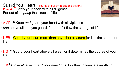Guard You Heart Source of our attitudes and actions • Prov 4;**<sup>23</sup>**Keep your heart with all diligence, For out of it *spring* the issues of life



•AMP **<sup>23</sup>**Keep *and* guard your heart with all vigilance

- *and* above all that you guard, for out of it flow the springs of life.
- NEB Guard your heart more than any other treasure for it is the source of life
- NLT <sup>23</sup> Guard your heart above all else, for it determines the course of your life.
- TLB **<sup>2</sup>***Above all else, guard your affections.* For they influence everything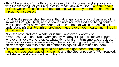- Phil 4.<sup>6</sup> Be anxious for nothing, but in everything by prayer and supplication, with thanksgiving, let your requests be made known to God; <sup>7</sup> and the peace of God, which surpasses all understanding, will guard your hearts and minds through Christ Jesus.
- •<sup>7</sup> And God's pea[c](https://www.biblegateway.com/passage/?search=Philippians+4&version=AMPC#fen-AMPC-29448c)e [shall be yours, that <sup>[c]</sup>tranquil state of a soul assured of its salvation through Christ, and so fearing nothing from God and being content with its earthly lot of whatever sort that is, that peace] which transcends all understanding shall [[d\]](https://www.biblegateway.com/passage/?search=Philippians+4&version=AMPC#fen-AMPC-29448d)garrison *and* mount guard over your hearts and minds in Christ Jesus.
- •<sup>8</sup> For the rest, brethren, whatever is true, whatever is worthy of reverence *and* is honorable *and* seemly, whatever is just, whatever is pure, whatever is lovely *and* lovable, whatever is kind *and* winsome *and* gracious, if there is any virtué *and* excellence, if there is anything worthy of praise, think on *and* weigh *and* take account of these things [fix your minds on them].
- <sup>9</sup> Practice what you have learned and received and heard and seen in me, *and* model your way of living on it, and the God of peace (of [[e](https://www.biblegateway.com/passage/?search=Philippians+4&version=AMPC#fen-AMPC-29450e)]untroubled, undisturbed well-being) will be with you.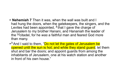- **Nehemiah 7** Then it was, when the wall was built and I had hung the doors, when the gatekeepers, the singers, and the Levites had been appointed, **<sup>2</sup>**that I gave the charge of Jerusalem to my brother Hanani, and Hananiah the leader of the [[a](https://www.biblegateway.com/passage/?search=Nehemiah+7&version=NKJV#fen-NKJV-12423a)]citadel, for he *was* a faithful man and feared God more than many.
- **• <sup>3</sup>**And I said to them, "Do not let the gates of Jerusalem be opened until the sun is hot; and while they stand *guard,* let them shut and bar the doors; and appoint guards from among the inhabitants of Jerusalem, one at his watch station and another in front of his own house."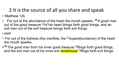# 2 It is the source of all you share and speak

- Matthew 12b
- For out of the abundance of the heart the mouth speaks. **<sup>35</sup>**A good man out of the [g](https://www.biblegateway.com/passage/?search=Matthew+12&version=NKJV#fen-NKJV-23525g)ood treasure [g]of his heart brings forth good things, and an evil man out of the evil treasure brings forth evil things.
- •AMP
- For out of the fullness (the overflow, the  $[Pl_3]$ superabundance) of the heart the mouth speaks.
- •<sup>35</sup> The good man from his inner good treasure <sup>[[q](https://www.biblegateway.com/passage/?search=Matthew+12&version=AMPC#fen-AMPC-23525q)]</sup>flings forth good things, and the evil man out of his inner evil **storehouse** [[I] flings forth evil things.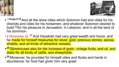



- **• 1 Kings 9;19** And all the store cities which Solomon had and cities for his chariots and cities for his horsemen, and whatever Solomon desired to build <sup>[\[a\]](https://www.biblegateway.com/passage/?search=1+KINGS+9&version=AMPC#fen-AMPC-9071a)</sup>for his pleasure in Jerusalem, in Lebanon, and in all the land of his dominion.
- 2 Chronicles 32.**<sup>27</sup>**And Hezekiah had very great wealth and honor, and he made for himself treasuries for silver, gold, precious stones, spices, shields, and all kinds of attractive vessels,
- **• <sup>28</sup>**Storehouses also for the increase of grain, vintage fruits, and oil, and stalls for all kinds of cattle, and sheepfolds.
- **• <sup>29</sup>**Moreover, he provided for himself cities and flocks and herds in abundance, for God had given him very great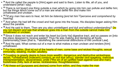- <sup>14</sup> And He called the people to [Him] again and said to them, Listen to Me, all of you, and understand [what I say].
- <sup>15</sup> There is not [even] one thing outside a man which by going into him can pollute *and* defile him; but the things which come out of a man are what defile him *and* make him unhallowed *and* unclean.
- **• 16** [[f\]](https://www.biblegateway.com/passage/?search=Mark+7&version=AMPC#fen-AMPC-24480f) *If any man has ears to hear, let him be listening [and let him* [[g\]](https://www.biblegateway.com/passage/?search=Mark+7&version=AMPC#fen-AMPC-24480g)*perceive and comprehend by hearing].*
- <sup>17</sup> And when He had left the crowd and had gone into the house, His disciples began asking Him about the parable.
- <sup>18</sup> And He said to them, Then are you also unintelligent *and* dull and without understanding? Do you not discern *and* see that whatever goes into a man from the outside cannot make him unhallowed *or* unclean,
- <sup>19</sup> Since it does not reach *and* enter his heart but [only his] digestive tract, and so passes on [into the place designed to receive waste]? Thus He was making *and* declaring all foods Enceptive ratitudity] clean [that is, <sup>[\[h](https://www.biblegateway.com/passage/?search=Mark+7&version=AMPC#fen-AMPC-24483h)]</sup>abolishing the ceremonial distinctions of the Levitical Law].
- <sup>20</sup> And He said, What comes out of a man is what makes a man unclean *and* renders [him] unhallowed.
- **• <sup>21</sup>**For from within, [that is] out of the hearts of men, come base *and* wicked thoughts, sexual immorality, stealing, murder, adultery,
- **• <sup>22</sup>**Coveting (a greedy desire to have more wealth), dangerous *and* destructive wickedness, deceit; [[i\]](https://www.biblegateway.com/passage/?search=Mark+7&version=AMPC#fen-AMPC-24486i)unrestrained (indecent) conduct; an evil eye (envy), slander (evil speaking, malicious misrepresentation, abusiveness), pride (<sup>[[j\]](https://www.biblegateway.com/passage/?search=Mark+7&version=AMPC#fen-AMPC-24486j)</sup>the sin of an uplifted heart against God and man), foolishness (folly, lack of sense, recklessness, thoughtlessness).
- **• <sup>23</sup>**All these evil [purposes and desires] come from within, and they make the man unclean *and* render him unhallowed.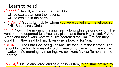## Learn to be still

- **• Psalm 46;10** Be still, and know that I *am* God; I will be exalted among the nations, I will be exalted in the earth!
- 1 Cor 1;<sup>9</sup> God *is* faithful, by whom you were called into the fellowship of His Son, Jesus Christ our Lord.
- Mark 1;35 Now in the morning, having risen a long while before daylight, He went out and departed to a <sup>[\[k](https://www.biblegateway.com/passage/?search=Mark+1&version=NKJV#fen-NKJV-24251k)]</sup>solitary place; and there He prayed. <sup>36</sup> And Simon and those *who were* with Him searched for Him. <sup>37</sup> When they found Him, they said to Him, "Everyone is looking for You."
- Isaiah 50<sup>4</sup> "The Lord Gop has given Me The tongue of the learned, That I should know how to speak A word in season to *him who is* weary. He awakens Me morning by morning, He awakens My ear To hear as the learned.
- Matt 4;<sup>4</sup> But He answered and said, "It is written, *'Man shall not live by* bread alone, but by every word that proceeds from the mouth of God.'